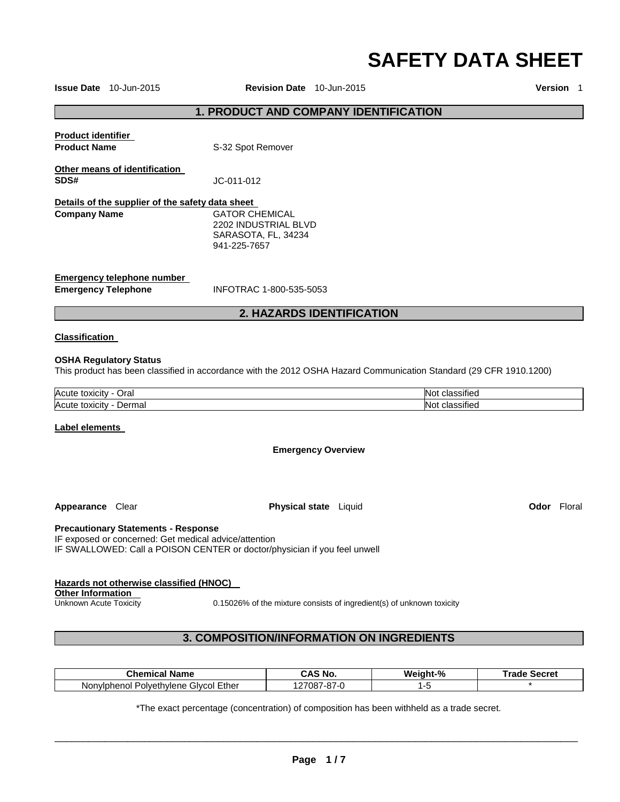# **SAFETY DATA SHEET**

**Issue Date** 10-Jun-2015 **Revision Date** 10-Jun-2015 **Version** 1

#### **1. PRODUCT AND COMPANY IDENTIFICATION**

|                                                                         | <b>2. HAZARDS IDENTIFICATION</b>                                              |
|-------------------------------------------------------------------------|-------------------------------------------------------------------------------|
| Emergency telephone number<br><b>Emergency Telephone</b>                | INFOTRAC 1-800-535-5053                                                       |
| Details of the supplier of the safety data sheet<br><b>Company Name</b> | GATOR CHEMICAL<br>2202 INDUSTRIAL BLVD<br>SARASOTA, FL, 34234<br>941-225-7657 |
| Other means of identification<br>SDS#                                   | JC-011-012                                                                    |
| <b>Product identifier</b><br><b>Product Name</b>                        | S-32 Spot Remover                                                             |

#### **Classification**

#### **OSHA Regulatory Status**

This product has been classified in accordance with the 2012 OSHA Hazard Communication Standard (29 CFR 1910.1200)

| Acute    | $\cdot$ |
|----------|---------|
| Oral     | ٠ıtıc   |
| ιοχιςιτν | ᇚ       |
| Acute    | .       |
| ⊃ermal   | $+$     |
| toxicity | טטווכ   |

#### **Label elements**

**Emergency Overview** 

**Appearance Clear <b>Physical state** Liquid **Physical state Clear and Codor Floral** 

#### **Precautionary Statements - Response**

IF exposed or concerned: Get medical advice/attention IF SWALLOWED: Call a POISON CENTER or doctor/physician if you feel unwell

# **Hazards not otherwise classified (HNOC)**

**Other Information** 

Unknown Acute Toxicity 0.15026% of the mixture consists of ingredient(s) of unknown toxicity

# **3. COMPOSITION/INFORMATION ON INGREDIENTS**

| <b>Name</b><br>∶hemٽ<br>nical                 | ` No.<br>ົ^<br>⌒<br>uno                               | Weight-% | ™rad⊾<br>Secret |
|-----------------------------------------------|-------------------------------------------------------|----------|-----------------|
| . Givcol Ether<br>Polvethylene<br>Nonviphenol | $\sim$ $\sim$ $\sim$<br>$\sim$<br>708.<br>,<br>ິ<br>- |          |                 |

\*The exact percentage (concentration) of composition has been withheld as a trade secret.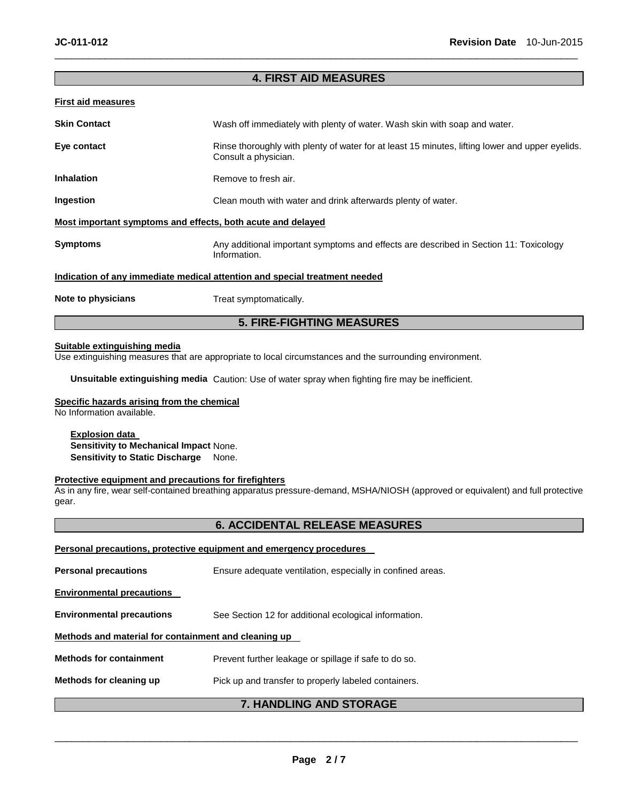# **4. FIRST AID MEASURES**

\_\_\_\_\_\_\_\_\_\_\_\_\_\_\_\_\_\_\_\_\_\_\_\_\_\_\_\_\_\_\_\_\_\_\_\_\_\_\_\_\_\_\_\_\_\_\_\_\_\_\_\_\_\_\_\_\_\_\_\_\_\_\_\_\_\_\_\_\_\_\_\_\_\_\_\_\_\_\_\_\_\_\_\_\_\_\_\_\_\_\_\_\_

#### **First aid measures**

| <b>Skin Contact</b>                                                        | Wash off immediately with plenty of water. Wash skin with soap and water.                                               |  |  |
|----------------------------------------------------------------------------|-------------------------------------------------------------------------------------------------------------------------|--|--|
| Eye contact                                                                | Rinse thoroughly with plenty of water for at least 15 minutes, lifting lower and upper eyelids.<br>Consult a physician. |  |  |
| <b>Inhalation</b>                                                          | Remove to fresh air.                                                                                                    |  |  |
| Ingestion                                                                  | Clean mouth with water and drink afterwards plenty of water.                                                            |  |  |
| Most important symptoms and effects, both acute and delayed                |                                                                                                                         |  |  |
| <b>Symptoms</b>                                                            | Any additional important symptoms and effects are described in Section 11: Toxicology<br>Information.                   |  |  |
| Indication of any immediate medical attention and special treatment needed |                                                                                                                         |  |  |
| Note to physicians                                                         | Treat symptomatically.                                                                                                  |  |  |

# **5. FIRE-FIGHTING MEASURES**

### **Suitable extinguishing media**

Use extinguishing measures that are appropriate to local circumstances and the surrounding environment.

**Unsuitable extinguishing media** Caution: Use of water spray when fighting fire may be inefficient.

# **Specific hazards arising from the chemical**

No Information available.

#### **Explosion data**

**Sensitivity to Mechanical Impact** None. **Sensitivity to Static Discharge** None.

#### **Protective equipment and precautions for firefighters**

As in any fire, wear self-contained breathing apparatus pressure-demand, MSHA/NIOSH (approved or equivalent) and full protective gear.

# **6. ACCIDENTAL RELEASE MEASURES**

|                                                                                 | <b>7. HANDLING AND STORAGE</b>                             |  |  |  |
|---------------------------------------------------------------------------------|------------------------------------------------------------|--|--|--|
| Methods for cleaning up<br>Pick up and transfer to properly labeled containers. |                                                            |  |  |  |
| <b>Methods for containment</b>                                                  | Prevent further leakage or spillage if safe to do so.      |  |  |  |
| Methods and material for containment and cleaning up                            |                                                            |  |  |  |
| <b>Environmental precautions</b>                                                | See Section 12 for additional ecological information.      |  |  |  |
| <b>Environmental precautions</b>                                                |                                                            |  |  |  |
| <b>Personal precautions</b>                                                     | Ensure adequate ventilation, especially in confined areas. |  |  |  |
| Personal precautions, protective equipment and emergency procedures             |                                                            |  |  |  |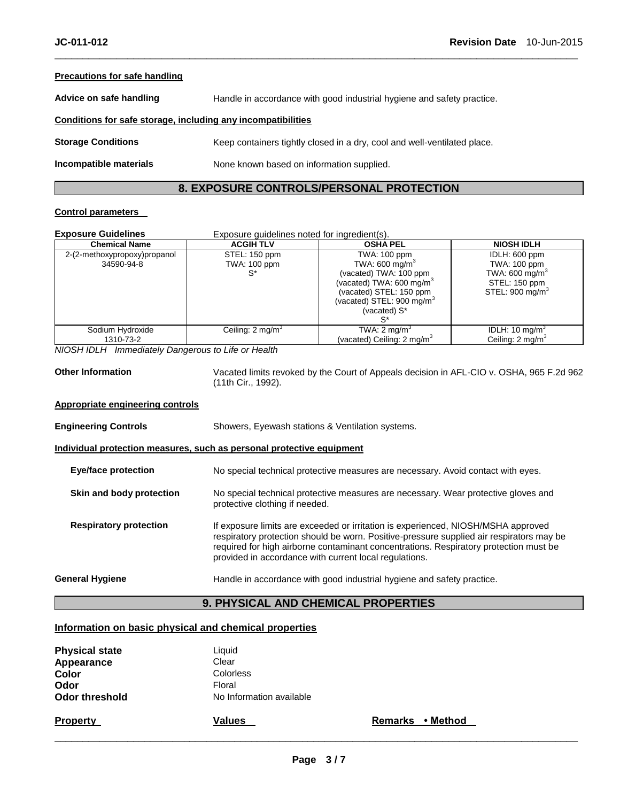#### **Precautions for safe handling**

**Advice on safe handling** Handle in accordance with good industrial hygiene and safety practice.

#### **Conditions for safe storage, including any incompatibilities**

**Storage Conditions Keep containers tightly closed in a dry, cool and well-ventilated place.** 

**Incompatible materials None known based on information supplied.** 

#### **8. EXPOSURE CONTROLS/PERSONAL PROTECTION**

\_\_\_\_\_\_\_\_\_\_\_\_\_\_\_\_\_\_\_\_\_\_\_\_\_\_\_\_\_\_\_\_\_\_\_\_\_\_\_\_\_\_\_\_\_\_\_\_\_\_\_\_\_\_\_\_\_\_\_\_\_\_\_\_\_\_\_\_\_\_\_\_\_\_\_\_\_\_\_\_\_\_\_\_\_\_\_\_\_\_\_\_\_

### **Control parameters**

| <b>Exposure Guidelines</b>                 | Exposure guidelines noted for ingredient(s). |                                                                                                                                                                                                         |                                                                                                                   |  |
|--------------------------------------------|----------------------------------------------|---------------------------------------------------------------------------------------------------------------------------------------------------------------------------------------------------------|-------------------------------------------------------------------------------------------------------------------|--|
| <b>Chemical Name</b>                       | <b>ACGIH TLV</b>                             | <b>OSHA PEL</b>                                                                                                                                                                                         | <b>NIOSH IDLH</b>                                                                                                 |  |
| 2-(2-methoxypropoxy)propanol<br>34590-94-8 | STEL: 150 ppm<br><b>TWA: 100 ppm</b><br>S*   | TWA: 100 ppm<br>TWA: 600 mg/m <sup>3</sup><br>(vacated) TWA: 100 ppm<br>(vacated) TWA: 600 mg/m <sup>3</sup><br>(vacated) STEL: 150 ppm<br>(vacated) STEL: 900 mg/m <sup>3</sup><br>(vacated) S*<br>`S* | IDLH: 600 ppm<br><b>TWA: 100 ppm</b><br>TWA: 600 mg/m <sup>3</sup><br>STEL: 150 ppm<br>STEL: $900 \text{ mg/m}^3$ |  |
| Sodium Hydroxide<br>1310-73-2              | Ceiling: $2 \text{ mg/m}^3$                  | TWA: $2 \text{ mg/m}^3$<br>(vacated) Ceiling: $2 \text{ mg/m}^3$                                                                                                                                        | IDLH: 10 mg/m <sup>3</sup><br>Ceiling: $2 \text{ mg/m}^3$                                                         |  |

*NIOSH IDLH Immediately Dangerous to Life or Health* 

**Other Information** Vacated limits revoked by the Court of Appeals decision in AFL-CIO v. OSHA, 965 F.2d 962 (11th Cir., 1992).

#### **Appropriate engineering controls**

| <b>Engineering Controls</b>   | Showers, Eyewash stations & Ventilation systems.                                                                                                                                                                                                                                                                                 |  |  |
|-------------------------------|----------------------------------------------------------------------------------------------------------------------------------------------------------------------------------------------------------------------------------------------------------------------------------------------------------------------------------|--|--|
|                               | Individual protection measures, such as personal protective equipment                                                                                                                                                                                                                                                            |  |  |
| <b>Eye/face protection</b>    | No special technical protective measures are necessary. Avoid contact with eyes.                                                                                                                                                                                                                                                 |  |  |
| Skin and body protection      | No special technical protective measures are necessary. Wear protective gloves and<br>protective clothing if needed.                                                                                                                                                                                                             |  |  |
| <b>Respiratory protection</b> | If exposure limits are exceeded or irritation is experienced, NIOSH/MSHA approved<br>respiratory protection should be worn. Positive-pressure supplied air respirators may be<br>required for high airborne contaminant concentrations. Respiratory protection must be<br>provided in accordance with current local regulations. |  |  |
| General Hygiene               | Handle in accordance with good industrial hygiene and safety practice.                                                                                                                                                                                                                                                           |  |  |

# **9. PHYSICAL AND CHEMICAL PROPERTIES**

#### **Information on basic physical and chemical properties**

| <b>Physical state</b> | Liquid                   |
|-----------------------|--------------------------|
| Appearance            | Clear                    |
| Color                 | Colorless                |
| Odor                  | Floral                   |
| Odor threshold        | No Information available |
| <b>Property</b>       | Values                   |

**Remarks • Method**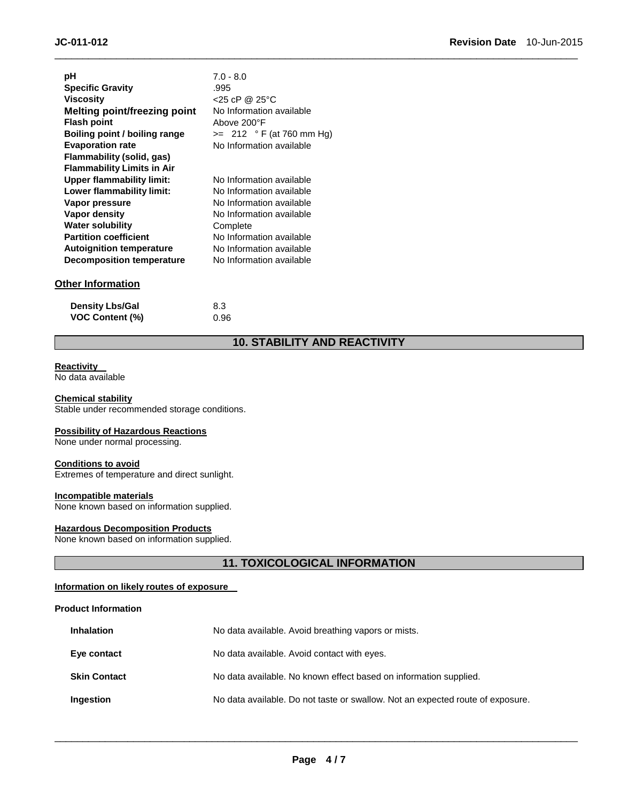| рH                                  | $7.0 - 8.0$                |
|-------------------------------------|----------------------------|
| <b>Specific Gravity</b>             | .995                       |
| <b>Viscosity</b>                    | $<$ 25 cP @ 25 °C          |
| <b>Melting point/freezing point</b> | No Information available   |
| <b>Flash point</b>                  | Above 200°F                |
| Boiling point / boiling range       | $>= 212 °F$ (at 760 mm Hg) |
| <b>Evaporation rate</b>             | No Information available   |
| Flammability (solid, gas)           |                            |
| <b>Flammability Limits in Air</b>   |                            |
| <b>Upper flammability limit:</b>    | No Information available   |
| Lower flammability limit:           | No Information available   |
| Vapor pressure                      | No Information available   |
| Vapor density                       | No Information available   |
| <b>Water solubility</b>             | Complete                   |
| <b>Partition coefficient</b>        | No Information available   |
| <b>Autoignition temperature</b>     | No Information available   |
| <b>Decomposition temperature</b>    | No Information available   |
|                                     |                            |

# **Other Information**

| <b>Density Lbs/Gal</b> | 8.3  |
|------------------------|------|
| <b>VOC Content (%)</b> | 0.96 |

# **10. STABILITY AND REACTIVITY**

\_\_\_\_\_\_\_\_\_\_\_\_\_\_\_\_\_\_\_\_\_\_\_\_\_\_\_\_\_\_\_\_\_\_\_\_\_\_\_\_\_\_\_\_\_\_\_\_\_\_\_\_\_\_\_\_\_\_\_\_\_\_\_\_\_\_\_\_\_\_\_\_\_\_\_\_\_\_\_\_\_\_\_\_\_\_\_\_\_\_\_\_\_

#### **Reactivity**

No data available

#### **Chemical stability**

Stable under recommended storage conditions.

# **Possibility of Hazardous Reactions**

None under normal processing.

#### **Conditions to avoid**

Extremes of temperature and direct sunlight.

#### **Incompatible materials**

None known based on information supplied.

# **Hazardous Decomposition Products**

None known based on information supplied.

# **11. TOXICOLOGICAL INFORMATION**

#### **Information on likely routes of exposure**

#### **Product Information**

| <b>Inhalation</b>   | No data available. Avoid breathing vapors or mists.                            |  |  |
|---------------------|--------------------------------------------------------------------------------|--|--|
| Eye contact         | No data available. Avoid contact with eyes.                                    |  |  |
| <b>Skin Contact</b> | No data available. No known effect based on information supplied.              |  |  |
| Ingestion           | No data available. Do not taste or swallow. Not an expected route of exposure. |  |  |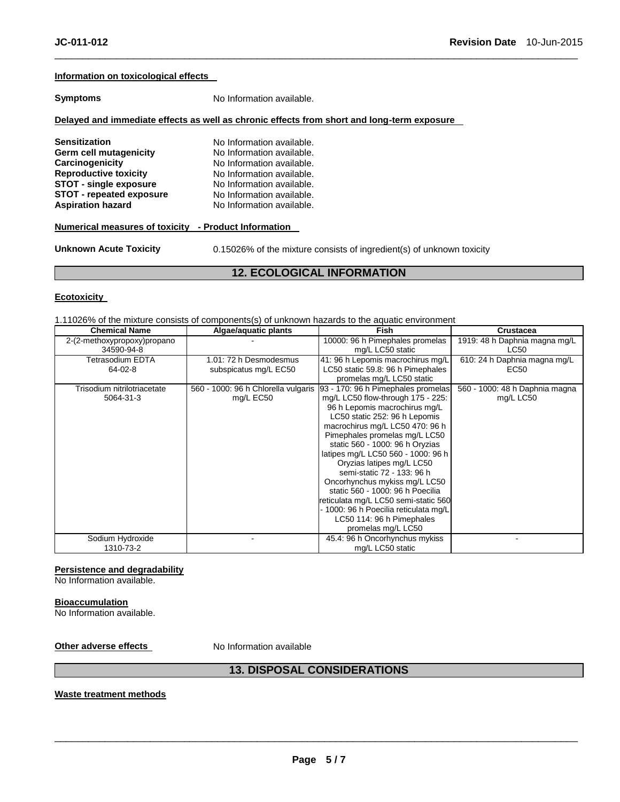#### **Information on toxicological effects**

**Symptoms** No Information available.

#### **Delayed and immediate effects as well as chronic effects from short and long-term exposure**

**Sensitization No Information available. Germ cell mutagenicity** No Information available. **Carcinogenicity 1988** No Information available.<br> **Reproductive toxicity** No Information available. No Information available. **STOT - single exposure No Information available.**<br>**STOT - repeated exposure No Information available. STOT - repeated exposure<br>Aspiration hazard** No Information available.

#### **Numerical measures of toxicity - Product Information**

**Unknown Acute Toxicity** 0.15026% of the mixture consists of ingredient(s) of unknown toxicity

# **12. ECOLOGICAL INFORMATION**

\_\_\_\_\_\_\_\_\_\_\_\_\_\_\_\_\_\_\_\_\_\_\_\_\_\_\_\_\_\_\_\_\_\_\_\_\_\_\_\_\_\_\_\_\_\_\_\_\_\_\_\_\_\_\_\_\_\_\_\_\_\_\_\_\_\_\_\_\_\_\_\_\_\_\_\_\_\_\_\_\_\_\_\_\_\_\_\_\_\_\_\_\_

#### **Ecotoxicity**

1.11026% of the mixture consists of components(s) of unknown hazards to the aquatic environment

| <b>Chemical Name</b>        | Algae/aquatic plants                | <b>Fish</b>                           | Crustacea                      |
|-----------------------------|-------------------------------------|---------------------------------------|--------------------------------|
| 2-(2-methoxypropoxy)propano |                                     | 10000: 96 h Pimephales promelas       | 1919: 48 h Daphnia magna mg/L  |
| 34590-94-8                  |                                     | mg/L LC50 static                      | LC50                           |
| Tetrasodium EDTA            | 1.01: 72 h Desmodesmus              | 41: 96 h Lepomis macrochirus mg/L     | 610: 24 h Daphnia magna mg/L   |
| 64-02-8                     | subspicatus mg/L EC50               | LC50 static 59.8: 96 h Pimephales     | EC50                           |
|                             |                                     | promelas mg/L LC50 static             |                                |
| Trisodium nitrilotriacetate | 560 - 1000: 96 h Chlorella vulgaris | 93 - 170: 96 h Pimephales promelas    | 560 - 1000: 48 h Daphnia magna |
| 5064-31-3                   | mg/L EC50                           | mg/L LC50 flow-through 175 - 225:     | mg/L LC50                      |
|                             |                                     | 96 h Lepomis macrochirus mg/L         |                                |
|                             |                                     | LC50 static 252: 96 h Lepomis         |                                |
|                             |                                     | macrochirus mg/L LC50 470: 96 h       |                                |
|                             |                                     | Pimephales promelas mg/L LC50         |                                |
|                             |                                     | static 560 - 1000: 96 h Oryzias       |                                |
|                             |                                     | latipes mg/L LC50 560 - 1000: 96 h    |                                |
|                             |                                     | Oryzias latipes mg/L LC50             |                                |
|                             |                                     | semi-static 72 - 133: 96 h            |                                |
|                             |                                     | Oncorhynchus mykiss mg/L LC50         |                                |
|                             |                                     | static 560 - 1000: 96 h Poecilia      |                                |
|                             |                                     | reticulata mg/L LC50 semi-static 560  |                                |
|                             |                                     | - 1000: 96 h Poecilia reticulata mg/L |                                |
|                             |                                     | LC50 114: 96 h Pimephales             |                                |
|                             |                                     | promelas mg/L LC50                    |                                |
| Sodium Hydroxide            |                                     | 45.4: 96 h Oncorhynchus mykiss        |                                |
| 1310-73-2                   |                                     | mg/L LC50 static                      |                                |

# **Persistence and degradability**

No Information available.

#### **Bioaccumulation**

No Information available.

**Other adverse effects** No Information available

# **13. DISPOSAL CONSIDERATIONS**

#### **Waste treatment methods**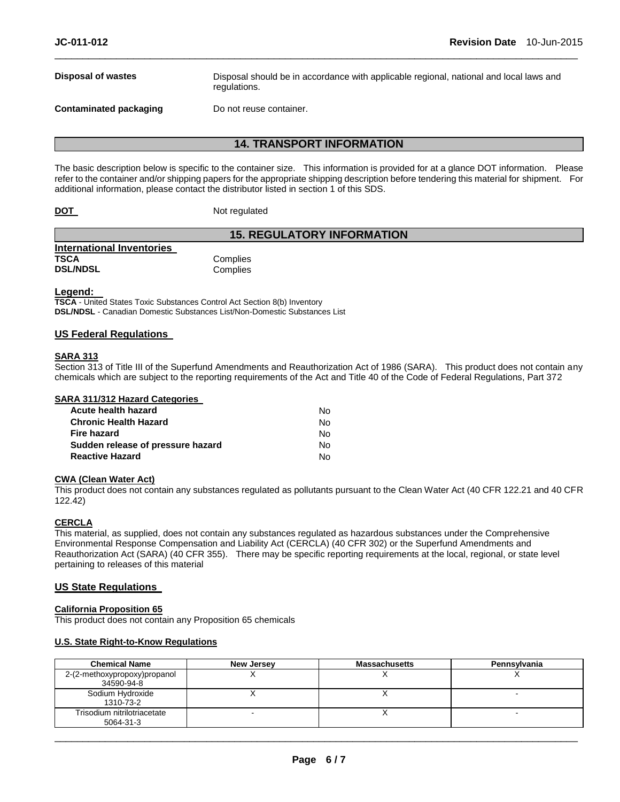**Disposal of wastes** Disposal should be in accordance with applicable regional, national and local laws and regulations.

**Contaminated packaging by Do not reuse container.** 

# **14. TRANSPORT INFORMATION**

\_\_\_\_\_\_\_\_\_\_\_\_\_\_\_\_\_\_\_\_\_\_\_\_\_\_\_\_\_\_\_\_\_\_\_\_\_\_\_\_\_\_\_\_\_\_\_\_\_\_\_\_\_\_\_\_\_\_\_\_\_\_\_\_\_\_\_\_\_\_\_\_\_\_\_\_\_\_\_\_\_\_\_\_\_\_\_\_\_\_\_\_\_

The basic description below is specific to the container size. This information is provided for at a glance DOT information. Please refer to the container and/or shipping papers for the appropriate shipping description before tendering this material for shipment. For additional information, please contact the distributor listed in section 1 of this SDS.

**DOT** Not regulated

### **15. REGULATORY INFORMATION**

| International Inventories |          |
|---------------------------|----------|
| <b>TSCA</b>               | Complies |
| <b>DSL/NDSL</b>           | Complies |

#### **Legend:**

**TSCA** - United States Toxic Substances Control Act Section 8(b) Inventory **DSL/NDSL** - Canadian Domestic Substances List/Non-Domestic Substances List

#### **US Federal Regulations**

#### **SARA 313**

Section 313 of Title III of the Superfund Amendments and Reauthorization Act of 1986 (SARA). This product does not contain any chemicals which are subject to the reporting requirements of the Act and Title 40 of the Code of Federal Regulations, Part 372

#### **SARA 311/312 Hazard Categories**

| Acute health hazard               | No. |
|-----------------------------------|-----|
| <b>Chronic Health Hazard</b>      | No. |
| <b>Fire hazard</b>                | No. |
| Sudden release of pressure hazard | No. |
| <b>Reactive Hazard</b>            | No. |

#### **CWA (Clean Water Act)**

This product does not contain any substances regulated as pollutants pursuant to the Clean Water Act (40 CFR 122.21 and 40 CFR 122.42)

# **CERCLA**

This material, as supplied, does not contain any substances regulated as hazardous substances under the Comprehensive Environmental Response Compensation and Liability Act (CERCLA) (40 CFR 302) or the Superfund Amendments and Reauthorization Act (SARA) (40 CFR 355). There may be specific reporting requirements at the local, regional, or state level pertaining to releases of this material

#### **US State Regulations**

#### **California Proposition 65**

This product does not contain any Proposition 65 chemicals

#### **U.S. State Right-to-Know Regulations**

| <b>Chemical Name</b>                       | New Jersey | <b>Massachusetts</b> | Pennsvlvania             |
|--------------------------------------------|------------|----------------------|--------------------------|
| 2-(2-methoxypropoxy)propanol<br>34590-94-8 |            |                      |                          |
| Sodium Hydroxide<br>1310-73-2              |            |                      | $\overline{\phantom{0}}$ |
| Trisodium nitrilotriacetate<br>5064-31-3   |            |                      |                          |